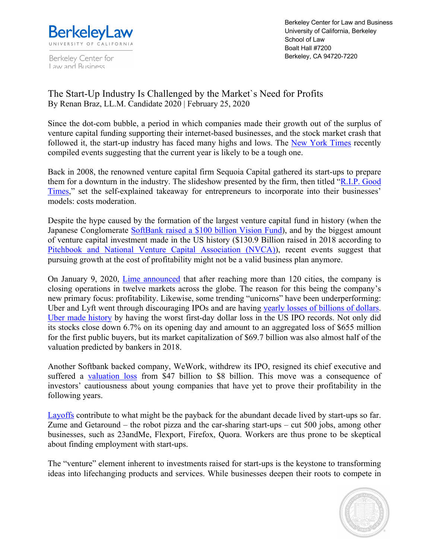

Berkeley Center for Law and Business

Berkeley Center for Law and Business University of California, Berkeley School of Law Boalt Hall #7200 Berkeley, CA 94720-7220

## The Start-Up Industry Is Challenged by the Market`s Need for Profits By Renan Braz, LL.M. Candidate 2020 | February 25, 2020

Since the dot-com bubble, a period in which companies made their growth out of the surplus of venture capital funding supporting their internet-based businesses, and the stock market crash that followed it, the start-up industry has faced many highs and lows. The New York Times recently compiled events suggesting that the current year is likely to be a tough one.

Back in 2008, the renowned venture capital firm Sequoia Capital gathered its start-ups to prepare them for a downturn in the industry. The slideshow presented by the firm, then titled "R.I.P. Good Times," set the self-explained takeaway for entrepreneurs to incorporate into their businesses' models: costs moderation.

Despite the hype caused by the formation of the largest venture capital fund in history (when the Japanese Conglomerate SoftBank raised a \$100 billion Vision Fund), and by the biggest amount of venture capital investment made in the US history (\$130.9 Billion raised in 2018 according to Pitchbook and National Venture Capital Association (NVCA)), recent events suggest that pursuing growth at the cost of profitability might not be a valid business plan anymore.

On January 9, 2020, *Lime announced* that after reaching more than 120 cities, the company is closing operations in twelve markets across the globe. The reason for this being the company's new primary focus: profitability. Likewise, some trending "unicorns" have been underperforming: Uber and Lyft went through discouraging IPOs and are having yearly losses of billions of dollars. Uber made history by having the worst first-day dollar loss in the US IPO records. Not only did its stocks close down 6.7% on its opening day and amount to an aggregated loss of \$655 million for the first public buyers, but its market capitalization of \$69.7 billion was also almost half of the valuation predicted by bankers in 2018.

Another Softbank backed company, WeWork, withdrew its IPO, resigned its chief executive and suffered a valuation loss from \$47 billion to \$8 billion. This move was a consequence of investors' cautiousness about young companies that have yet to prove their profitability in the following years.

Layoffs contribute to what might be the payback for the abundant decade lived by start-ups so far. Zume and Getaround – the robot pizza and the car-sharing start-ups – cut 500 jobs, among other businesses, such as 23andMe, Flexport, Firefox, Quora. Workers are thus prone to be skeptical about finding employment with start-ups.

The "venture" element inherent to investments raised for start-ups is the keystone to transforming ideas into lifechanging products and services. While businesses deepen their roots to compete in